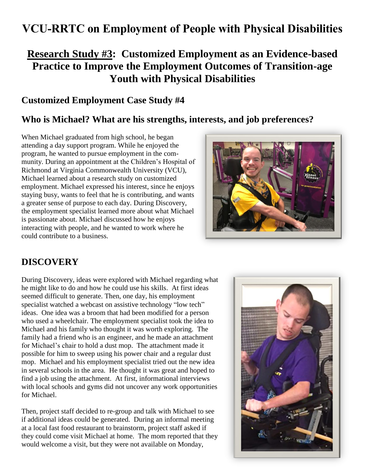# **VCU-RRTC on Employment of People with Physical Disabilities**

# **Research Study #3: Customized Employment as an Evidence-based Practice to Improve the Employment Outcomes of Transition-age Youth with Physical Disabilities**

### **Customized Employment Case Study #4**

# **Who is Michael? What are his strengths, interests, and job preferences?**

When Michael graduated from high school, he began attending a day support program. While he enjoyed the program, he wanted to pursue employment in the community. During an appointment at the Children's Hospital of Richmond at Virginia Commonwealth University (VCU), Michael learned about a research study on customized employment. Michael expressed his interest, since he enjoys staying busy, wants to feel that he is contributing, and wants a greater sense of purpose to each day. During Discovery, the employment specialist learned more about what Michael is passionate about. Michael discussed how he enjoys interacting with people, and he wanted to work where he could contribute to a business.



# **DISCOVERY**

During Discovery, ideas were explored with Michael regarding what he might like to do and how he could use his skills. At first ideas seemed difficult to generate. Then, one day, his employment specialist watched a webcast on assistive technology "low tech" ideas. One idea was a broom that had been modified for a person who used a wheelchair. The employment specialist took the idea to Michael and his family who thought it was worth exploring. The family had a friend who is an engineer, and he made an attachment for Michael's chair to hold a dust mop. The attachment made it possible for him to sweep using his power chair and a regular dust mop. Michael and his employment specialist tried out the new idea in several schools in the area. He thought it was great and hoped to find a job using the attachment. At first, informational interviews with local schools and gyms did not uncover any work opportunities for Michael.

Then, project staff decided to re-group and talk with Michael to see if additional ideas could be generated. During an informal meeting at a local fast food restaurant to brainstorm, project staff asked if they could come visit Michael at home. The mom reported that they would welcome a visit, but they were not available on Monday,

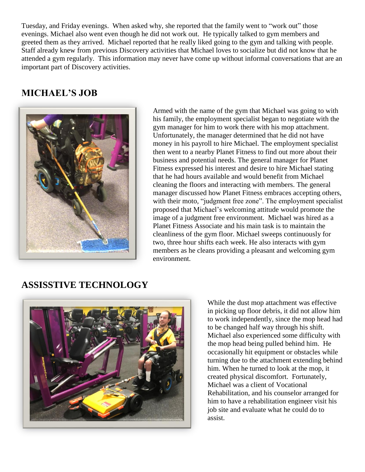Tuesday, and Friday evenings. When asked why, she reported that the family went to "work out" those evenings. Michael also went even though he did not work out. He typically talked to gym members and greeted them as they arrived. Michael reported that he really liked going to the gym and talking with people. Staff already knew from previous Discovery activities that Michael loves to socialize but did not know that he attended a gym regularly. This information may never have come up without informal conversations that are an important part of Discovery activities.

# **MICHAEL'S JOB**



Armed with the name of the gym that Michael was going to with his family, the employment specialist began to negotiate with the gym manager for him to work there with his mop attachment. Unfortunately, the manager determined that he did not have money in his payroll to hire Michael. The employment specialist then went to a nearby Planet Fitness to find out more about their business and potential needs. The general manager for Planet Fitness expressed his interest and desire to hire Michael stating that he had hours available and would benefit from Michael cleaning the floors and interacting with members. The general manager discussed how Planet Fitness embraces accepting others, with their moto, "judgment free zone". The employment specialist proposed that Michael's welcoming attitude would promote the image of a judgment free environment. Michael was hired as a Planet Fitness Associate and his main task is to maintain the cleanliness of the gym floor. Michael sweeps continuously for two, three hour shifts each week. He also interacts with gym members as he cleans providing a pleasant and welcoming gym environment.

### **ASSISSTIVE TECHNOLOGY**



While the dust mop attachment was effective in picking up floor debris, it did not allow him to work independently, since the mop head had to be changed half way through his shift. Michael also experienced some difficulty with the mop head being pulled behind him. He occasionally hit equipment or obstacles while turning due to the attachment extending behind him. When he turned to look at the mop, it created physical discomfort. Fortunately, Michael was a client of Vocational Rehabilitation, and his counselor arranged for him to have a rehabilitation engineer visit his job site and evaluate what he could do to assist.